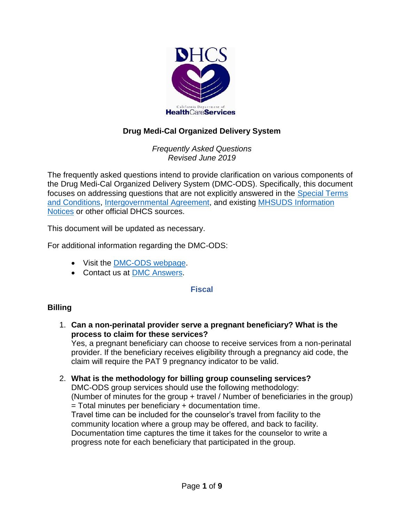

# **Drug Medi-Cal Organized Delivery System**

*Frequently Asked Questions Revised June 2019*

The frequently asked questions intend to provide clarification on various components of the Drug Medi-Cal Organized Delivery System (DMC-ODS). Specifically, this document focuses on addressing questions that are not explicitly answered in the [Special Terms](https://www.dhcs.ca.gov/provgovpart/Pages/Special-Terms-and-Conditions.aspx) [and Conditions,](https://www.dhcs.ca.gov/provgovpart/Pages/Special-Terms-and-Conditions.aspx) [Intergovernmental Agreement,](https://www.dhcs.ca.gov/provgovpart/Pages/County_Resources.aspx) and existing [MHSUDS Information](https://www.dhcs.ca.gov/formsandpubs/Pages/MHSUDS-Information-Notices.aspx) [Notices](https://www.dhcs.ca.gov/formsandpubs/Pages/MHSUDS-Information-Notices.aspx) or other official DHCS sources.

This document will be updated as necessary.

For additional information regarding the DMC-ODS:

- Visit the [DMC-ODS webpage.](https://www.dhcs.ca.gov/provgovpart/Pages/Drug-Medi-Cal-Organized-Delivery-System.aspx)
- Contact us at [DMC Answers.](https://www.dhcs.ca.gov/services/adp/Pages/DMC-Answers.aspx)

#### **Fiscal**

### **Billing**

1. **Can a non-perinatal provider serve a pregnant beneficiary? What is the process to claim for these services?**

Yes, a pregnant beneficiary can choose to receive services from a non-perinatal provider. If the beneficiary receives eligibility through a pregnancy aid code, the claim will require the PAT 9 pregnancy indicator to be valid.

2. **What is the methodology for billing group counseling services?** DMC-ODS group services should use the following methodology: (Number of minutes for the group + travel / Number of beneficiaries in the group) = Total minutes per beneficiary + documentation time. Travel time can be included for the counselor's travel from facility to the community location where a group may be offered, and back to facility. Documentation time captures the time it takes for the counselor to write a progress note for each beneficiary that participated in the group.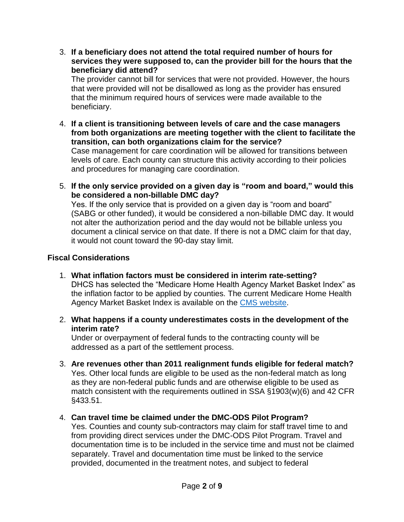3. **If a beneficiary does not attend the total required number of hours for services they were supposed to, can the provider bill for the hours that the beneficiary did attend?**

The provider cannot bill for services that were not provided. However, the hours that were provided will not be disallowed as long as the provider has ensured that the minimum required hours of services were made available to the beneficiary.

4. **If a client is transitioning between levels of care and the case managers from both organizations are meeting together with the client to facilitate the transition, can both organizations claim for the service?**

Case management for care coordination will be allowed for transitions between levels of care. Each county can structure this activity according to their policies and procedures for managing care coordination.

5. **If the only service provided on a given day is "room and board," would this be considered a non-billable DMC day?**

Yes. If the only service that is provided on a given day is "room and board" (SABG or other funded), it would be considered a non-billable DMC day. It would not alter the authorization period and the day would not be billable unless you document a clinical service on that date. If there is not a DMC claim for that day, it would not count toward the 90-day stay limit.

### **Fiscal Considerations**

- 1. **What inflation factors must be considered in interim rate-setting?** DHCS has selected the "Medicare Home Health Agency Market Basket Index" as the inflation factor to be applied by counties. The current Medicare Home Health Agency Market Basket Index is available on the [CMS website.](https://www.cms.gov/Research-Statistics-Data-and-Systems/Statistics-Trends-and-Reports/MedicareProgramRatesStats/MarketBasketData.html)
- 2. **What happens if a county underestimates costs in the development of the interim rate?**

Under or overpayment of federal funds to the contracting county will be addressed as a part of the settlement process.

- 3. **Are revenues other than 2011 realignment funds eligible for federal match?** Yes. Other local funds are eligible to be used as the non-federal match as long as they are non-federal public funds and are otherwise eligible to be used as match consistent with the requirements outlined in SSA §1903(w)(6) and 42 CFR §433.51.
- 4. **Can travel time be claimed under the DMC-ODS Pilot Program?**

Yes. Counties and county sub-contractors may claim for staff travel time to and from providing direct services under the DMC-ODS Pilot Program. Travel and documentation time is to be included in the service time and must not be claimed separately. Travel and documentation time must be linked to the service provided, documented in the treatment notes, and subject to federal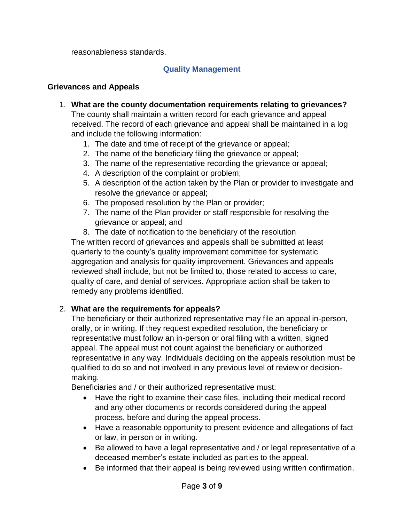reasonableness standards.

### **Quality Management**

#### **Grievances and Appeals**

- 1. **What are the county documentation requirements relating to grievances?** The county shall maintain a written record for each grievance and appeal received. The record of each grievance and appeal shall be maintained in a log and include the following information:
	- 1. The date and time of receipt of the grievance or appeal;
	- 2. The name of the beneficiary filing the grievance or appeal;
	- 3. The name of the representative recording the grievance or appeal;
	- 4. A description of the complaint or problem;
	- 5. A description of the action taken by the Plan or provider to investigate and resolve the grievance or appeal;
	- 6. The proposed resolution by the Plan or provider;
	- 7. The name of the Plan provider or staff responsible for resolving the grievance or appeal; and
	- 8. The date of notification to the beneficiary of the resolution

The written record of grievances and appeals shall be submitted at least quarterly to the county's quality improvement committee for systematic aggregation and analysis for quality improvement. Grievances and appeals reviewed shall include, but not be limited to, those related to access to care, quality of care, and denial of services. Appropriate action shall be taken to remedy any problems identified.

# 2. **What are the requirements for appeals?**

The beneficiary or their authorized representative may file an appeal in-person, orally, or in writing. If they request expedited resolution, the beneficiary or representative must follow an in-person or oral filing with a written, signed appeal. The appeal must not count against the beneficiary or authorized representative in any way. Individuals deciding on the appeals resolution must be qualified to do so and not involved in any previous level of review or decisionmaking.

Beneficiaries and / or their authorized representative must:

- Have the right to examine their case files, including their medical record and any other documents or records considered during the appeal process, before and during the appeal process.
- Have a reasonable opportunity to present evidence and allegations of fact or law, in person or in writing.
- Be allowed to have a legal representative and / or legal representative of a deceased member's estate included as parties to the appeal.
- Be informed that their appeal is being reviewed using written confirmation.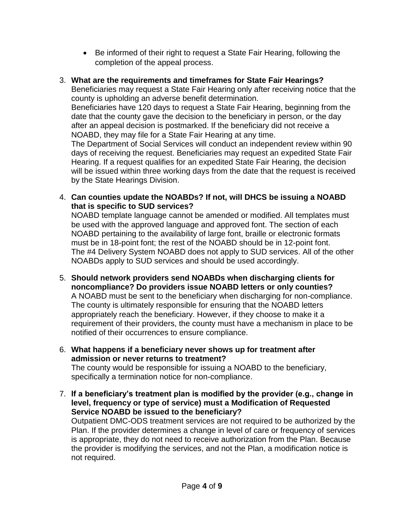- Be informed of their right to request a State Fair Hearing, following the completion of the appeal process.
- 3. **What are the requirements and timeframes for State Fair Hearings?**

Beneficiaries may request a State Fair Hearing only after receiving notice that the county is upholding an adverse benefit determination.

Beneficiaries have 120 days to request a State Fair Hearing, beginning from the date that the county gave the decision to the beneficiary in person, or the day after an appeal decision is postmarked. If the beneficiary did not receive a NOABD, they may file for a State Fair Hearing at any time.

The Department of Social Services will conduct an independent review within 90 days of receiving the request. Beneficiaries may request an expedited State Fair Hearing. If a request qualifies for an expedited State Fair Hearing, the decision will be issued within three working days from the date that the request is received by the State Hearings Division.

4. **Can counties update the NOABDs? If not, will DHCS be issuing a NOABD that is specific to SUD services?**

NOABD template language cannot be amended or modified. All templates must be used with the approved language and approved font. The section of each NOABD pertaining to the availability of large font, braille or electronic formats must be in 18-point font; the rest of the NOABD should be in 12-point font. The #4 Delivery System NOABD does not apply to SUD services. All of the other NOABDs apply to SUD services and should be used accordingly.

- 5. **Should network providers send NOABDs when discharging clients for noncompliance? Do providers issue NOABD letters or only counties?** A NOABD must be sent to the beneficiary when discharging for non-compliance. The county is ultimately responsible for ensuring that the NOABD letters appropriately reach the beneficiary. However, if they choose to make it a requirement of their providers, the county must have a mechanism in place to be notified of their occurrences to ensure compliance.
- 6. **What happens if a beneficiary never shows up for treatment after admission or never returns to treatment?** The county would be responsible for issuing a NOABD to the beneficiary, specifically a termination notice for non-compliance.
- 7. **If a beneficiary's treatment plan is modified by the provider (e.g., change in level, frequency or type of service) must a Modification of Requested Service NOABD be issued to the beneficiary?**

Outpatient DMC-ODS treatment services are not required to be authorized by the Plan. If the provider determines a change in level of care or frequency of services is appropriate, they do not need to receive authorization from the Plan. Because the provider is modifying the services, and not the Plan, a modification notice is not required.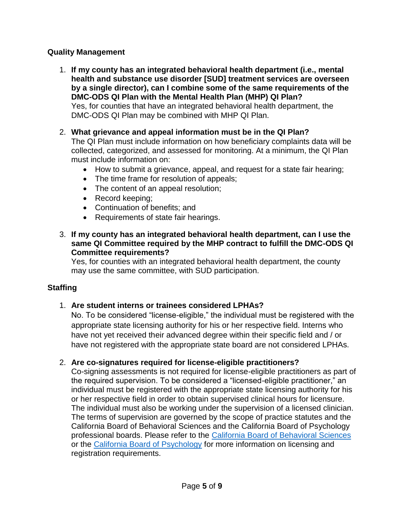### **Quality Management**

1. **If my county has an integrated behavioral health department (i.e., mental health and substance use disorder [SUD] treatment services are overseen by a single director), can I combine some of the same requirements of the DMC-ODS QI Plan with the Mental Health Plan (MHP) QI Plan?** Yes, for counties that have an integrated behavioral health department, the DMC-ODS QI Plan may be combined with MHP QI Plan.

#### 2. **What grievance and appeal information must be in the QI Plan?**

The QI Plan must include information on how beneficiary complaints data will be collected, categorized, and assessed for monitoring. At a minimum, the QI Plan must include information on:

- How to submit a grievance, appeal, and request for a state fair hearing;
- The time frame for resolution of appeals;
- The content of an appeal resolution;
- Record keeping:
- Continuation of benefits; and
- Requirements of state fair hearings.

#### 3. **If my county has an integrated behavioral health department, can I use the same QI Committee required by the MHP contract to fulfill the DMC-ODS QI Committee requirements?**

Yes, for counties with an integrated behavioral health department, the county may use the same committee, with SUD participation.

### **Staffing**

### 1. **Are student interns or trainees considered LPHAs?**

No. To be considered "license-eligible," the individual must be registered with the appropriate state licensing authority for his or her respective field. Interns who have not yet received their advanced degree within their specific field and / or have not registered with the appropriate state board are not considered LPHAs.

### 2. **Are co-signatures required for license-eligible practitioners?**

Co-signing assessments is not required for license-eligible practitioners as part of the required supervision. To be considered a "licensed-eligible practitioner," an individual must be registered with the appropriate state licensing authority for his or her respective field in order to obtain supervised clinical hours for licensure. The individual must also be working under the supervision of a licensed clinician. The terms of supervision are governed by the scope of practice statutes and the California Board of Behavioral Sciences and the California Board of Psychology professional boards. Please refer to the [California Board of Behavioral Sciences](https://www.bbs.ca.gov/) or the California [Board of Psychology](https://www.psychology.ca.gov/index.shtml) for more information on licensing and registration requirements.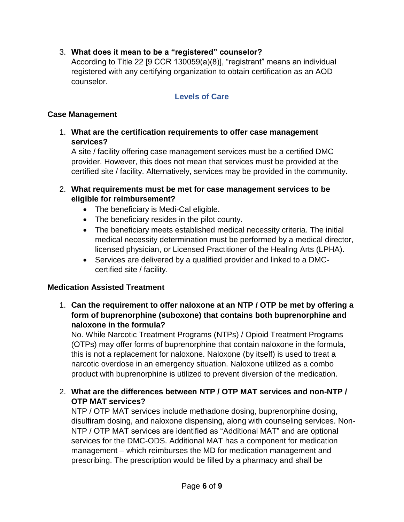# 3. **What does it mean to be a "registered" counselor?**

According to Title 22 [9 CCR 130059(a)(8)], "registrant" means an individual registered with any certifying organization to obtain certification as an AOD counselor.

### **Levels of Care**

#### **Case Management**

1. **What are the certification requirements to offer case management services?**

A site / facility offering case management services must be a certified DMC provider. However, this does not mean that services must be provided at the certified site / facility. Alternatively, services may be provided in the community.

- 2. **What requirements must be met for case management services to be eligible for reimbursement?**
	- The beneficiary is Medi-Cal eligible.
	- The beneficiary resides in the pilot county.
	- The beneficiary meets established medical necessity criteria. The initial medical necessity determination must be performed by a medical director, licensed physician, or Licensed Practitioner of the Healing Arts (LPHA).
	- Services are delivered by a qualified provider and linked to a DMCcertified site / facility.

### **Medication Assisted Treatment**

1. **Can the requirement to offer naloxone at an NTP / OTP be met by offering a form of buprenorphine (suboxone) that contains both buprenorphine and naloxone in the formula?**

No. While Narcotic Treatment Programs (NTPs) / Opioid Treatment Programs (OTPs) may offer forms of buprenorphine that contain naloxone in the formula, this is not a replacement for naloxone. Naloxone (by itself) is used to treat a narcotic overdose in an emergency situation. Naloxone utilized as a combo product with buprenorphine is utilized to prevent diversion of the medication.

2. **What are the differences between NTP / OTP MAT services and non-NTP / OTP MAT services?**

NTP / OTP MAT services include methadone dosing, buprenorphine dosing, disulfiram dosing, and naloxone dispensing, along with counseling services. Non-NTP / OTP MAT services are identified as "Additional MAT" and are optional services for the DMC-ODS. Additional MAT has a component for medication management – which reimburses the MD for medication management and prescribing. The prescription would be filled by a pharmacy and shall be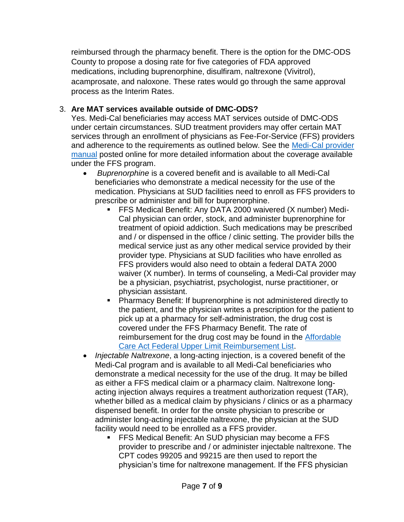reimbursed through the pharmacy benefit. There is the option for the DMC-ODS County to propose a dosing rate for five categories of FDA approved medications, including buprenorphine, disulfiram, naltrexone (Vivitrol), acamprosate, and naloxone. These rates would go through the same approval process as the Interim Rates.

# 3. **Are MAT services available outside of DMC-ODS?**

Yes. Medi-Cal beneficiaries may access MAT services outside of DMC-ODS under certain circumstances. SUD treatment providers may offer certain MAT services through an enrollment of physicians as Fee-For-Service (FFS) providers and adherence to the requirements as outlined below. See the [Medi-Cal provider](http://files.medi-cal.ca.gov/pubsdoco/Manuals_menu.asp)  [manual](http://files.medi-cal.ca.gov/pubsdoco/Manuals_menu.asp) posted online for more detailed information about the coverage available under the FFS program.

- *Buprenorphine* is a covered benefit and is available to all Medi-Cal beneficiaries who demonstrate a medical necessity for the use of the medication. Physicians at SUD facilities need to enroll as FFS providers to prescribe or administer and bill for buprenorphine.
	- FFS Medical Benefit: Any DATA 2000 waivered (X number) Medi-Cal physician can order, stock, and administer buprenorphine for treatment of opioid addiction. Such medications may be prescribed and / or dispensed in the office / clinic setting. The provider bills the medical service just as any other medical service provided by their provider type. Physicians at SUD facilities who have enrolled as FFS providers would also need to obtain a federal DATA 2000 waiver (X number). In terms of counseling, a Medi-Cal provider may be a physician, psychiatrist, psychologist, nurse practitioner, or physician assistant.
	- Pharmacy Benefit: If buprenorphine is not administered directly to the patient, and the physician writes a prescription for the patient to pick up at a pharmacy for self-administration, the drug cost is covered under the FFS Pharmacy Benefit. The rate of reimbursement for the drug cost may be found in the [Affordable](http://www.dhcs.ca.gov/provgovpart/pharmacy/Pages/ACAFUL.aspx)  [Care Act Federal Upper Limit Re](http://www.dhcs.ca.gov/provgovpart/pharmacy/Pages/ACAFUL.aspx)imbursement List.
- *Injectable Naltrexone*, a long-acting injection, is a covered benefit of the Medi-Cal program and is available to all Medi-Cal beneficiaries who demonstrate a medical necessity for the use of the drug. It may be billed as either a FFS medical claim or a pharmacy claim. Naltrexone longacting injection always requires a treatment authorization request (TAR), whether billed as a medical claim by physicians / clinics or as a pharmacy dispensed benefit. In order for the onsite physician to prescribe or administer long-acting injectable naltrexone, the physician at the SUD facility would need to be enrolled as a FFS provider.
	- **FFS Medical Benefit: An SUD physician may become a FFS** provider to prescribe and / or administer injectable naltrexone. The CPT codes 99205 and 99215 are then used to report the physician's time for naltrexone management. If the FFS physician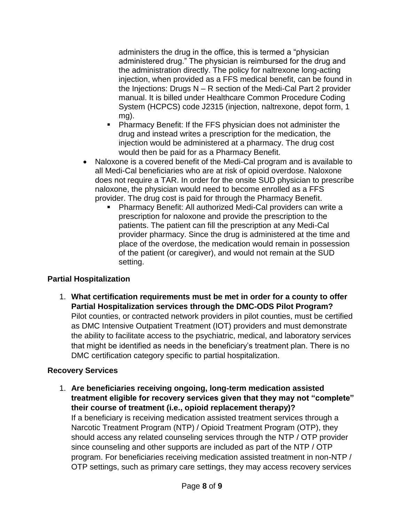administers the drug in the office, this is termed a "physician administered drug." The physician is reimbursed for the drug and the administration directly. The policy for naltrexone long-acting injection, when provided as a FFS medical benefit, can be found in the Injections: Drugs N – R section of the Medi-Cal Part 2 provider manual. It is billed under Healthcare Common Procedure Coding System (HCPCS) code J2315 (injection, naltrexone, depot form, 1 mg).

- **Pharmacy Benefit: If the FFS physician does not administer the** drug and instead writes a prescription for the medication, the injection would be administered at a pharmacy. The drug cost would then be paid for as a Pharmacy Benefit.
- Naloxone is a covered benefit of the Medi-Cal program and is available to all Medi-Cal beneficiaries who are at risk of opioid overdose. Naloxone does not require a TAR. In order for the onsite SUD physician to prescribe naloxone, the physician would need to become enrolled as a FFS provider. The drug cost is paid for through the Pharmacy Benefit.
	- Pharmacy Benefit: All authorized Medi-Cal providers can write a prescription for naloxone and provide the prescription to the patients. The patient can fill the prescription at any Medi-Cal provider pharmacy. Since the drug is administered at the time and place of the overdose, the medication would remain in possession of the patient (or caregiver), and would not remain at the SUD setting.

# **Partial Hospitalization**

1. **What certification requirements must be met in order for a county to offer Partial Hospitalization services through the DMC-ODS Pilot Program?** Pilot counties, or contracted network providers in pilot counties, must be certified as DMC Intensive Outpatient Treatment (IOT) providers and must demonstrate the ability to facilitate access to the psychiatric, medical, and laboratory services that might be identified as needs in the beneficiary's treatment plan. There is no DMC certification category specific to partial hospitalization.

### **Recovery Services**

1. **Are beneficiaries receiving ongoing, long-term medication assisted treatment eligible for recovery services given that they may not "complete" their course of treatment (i.e., opioid replacement therapy)?** If a beneficiary is receiving medication assisted treatment services through a Narcotic Treatment Program (NTP) / Opioid Treatment Program (OTP), they should access any related counseling services through the NTP / OTP provider since counseling and other supports are included as part of the NTP / OTP program. For beneficiaries receiving medication assisted treatment in non-NTP / OTP settings, such as primary care settings, they may access recovery services